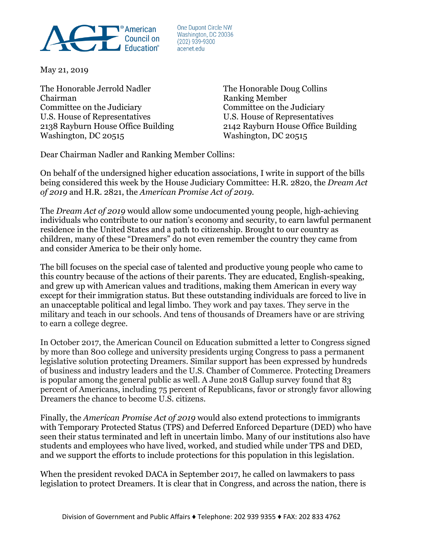

One Dupont Circle NW Washington, DC 20036  $(202)$  939-9300 acenet.edu

May 21, 2019

The Honorable Jerrold Nadler The Honorable Doug Collins Chairman Ranking Member Committee on the Judiciary Committee on the Judiciary U.S. House of Representatives U.S. House of Representatives 2138 Rayburn House Office Building 2142 Rayburn House Office Building Washington, DC 20515 Washington, DC 20515

Dear Chairman Nadler and Ranking Member Collins:

On behalf of the undersigned higher education associations, I write in support of the bills being considered this week by the House Judiciary Committee: H.R. 2820, the *Dream Act of 2019* and H.R. 2821, the *American Promise Act of 2019.* 

The *Dream Act of 2019* would allow some undocumented young people, high-achieving individuals who contribute to our nation's economy and security, to earn lawful permanent residence in the United States and a path to citizenship. Brought to our country as children, many of these "Dreamers" do not even remember the country they came from and consider America to be their only home.

The bill focuses on the special case of talented and productive young people who came to this country because of the actions of their parents. They are educated, English-speaking, and grew up with American values and traditions, making them American in every way except for their immigration status. But these outstanding individuals are forced to live in an unacceptable political and legal limbo. They work and pay taxes. They serve in the military and teach in our schools. And tens of thousands of Dreamers have or are striving to earn a college degree.

In October 2017, the American Council on Education submitted a letter to Congress signed by more than 800 college and university presidents urging Congress to pass a permanent legislative solution protecting Dreamers. Similar support has been expressed by hundreds of business and industry leaders and the U.S. Chamber of Commerce. Protecting Dreamers is popular among the general public as well. A June 2018 Gallup survey found that 83 percent of Americans, including 75 percent of Republicans, favor or strongly favor allowing Dreamers the chance to become U.S. citizens.

Finally, the *American Promise Act of 2019* would also extend protections to immigrants with Temporary Protected Status (TPS) and Deferred Enforced Departure (DED) who have seen their status terminated and left in uncertain limbo. Many of our institutions also have students and employees who have lived, worked, and studied while under TPS and DED, and we support the efforts to include protections for this population in this legislation.

When the president revoked DACA in September 2017, he called on lawmakers to pass legislation to protect Dreamers. It is clear that in Congress, and across the nation, there is